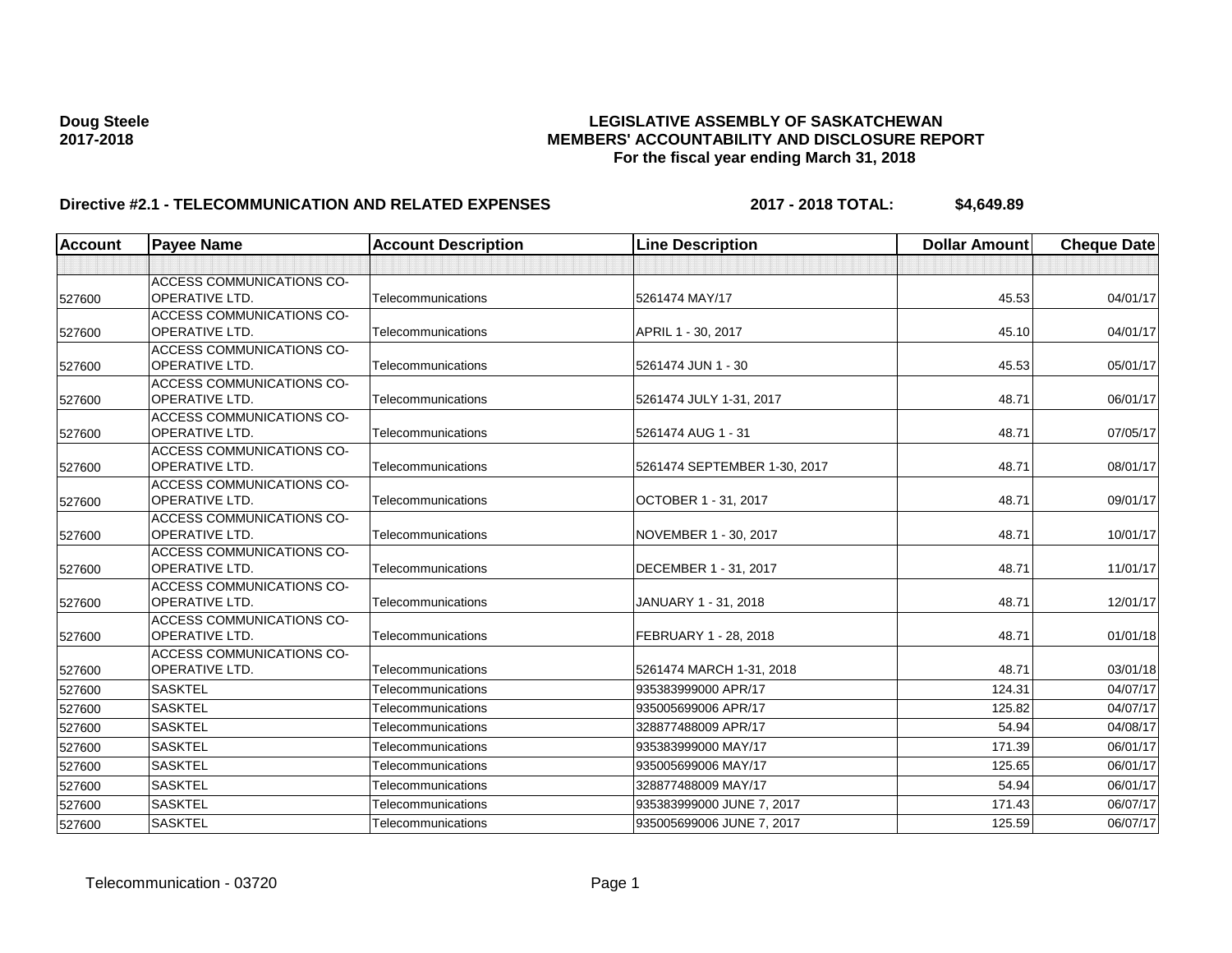# **Doug Steele LEGISLATIVE ASSEMBLY OF SASKATCHEWAN 2017-2018 MEMBERS' ACCOUNTABILITY AND DISCLOSURE REPORT For the fiscal year ending March 31, 2018**

# **Directive #2.1 - TELECOMMUNICATION AND RELATED EXPENSES** 2017 - 2018 TOTAL: \$4,649.89

| <b>Account</b> | <b>Payee Name</b>                                         | <b>Account Description</b> | <b>Line Description</b>      | <b>Dollar Amount</b> | <b>Cheque Date</b> |
|----------------|-----------------------------------------------------------|----------------------------|------------------------------|----------------------|--------------------|
|                |                                                           |                            |                              |                      |                    |
| 527600         | <b>ACCESS COMMUNICATIONS CO-</b><br><b>OPERATIVE LTD.</b> | Telecommunications         | 5261474 MAY/17               | 45.53                | 04/01/17           |
| 527600         | <b>ACCESS COMMUNICATIONS CO-</b><br><b>OPERATIVE LTD.</b> | Telecommunications         | APRIL 1 - 30, 2017           | 45.10                | 04/01/17           |
| 527600         | <b>ACCESS COMMUNICATIONS CO-</b><br><b>OPERATIVE LTD.</b> | Telecommunications         | 5261474 JUN 1 - 30           | 45.53                | 05/01/17           |
| 527600         | <b>ACCESS COMMUNICATIONS CO-</b><br><b>OPERATIVE LTD.</b> | Telecommunications         | 5261474 JULY 1-31, 2017      | 48.71                | 06/01/17           |
| 527600         | <b>ACCESS COMMUNICATIONS CO-</b><br><b>OPERATIVE LTD.</b> | Telecommunications         | 5261474 AUG 1 - 31           | 48.71                | 07/05/17           |
| 527600         | <b>ACCESS COMMUNICATIONS CO-</b><br><b>OPERATIVE LTD.</b> | Telecommunications         | 5261474 SEPTEMBER 1-30, 2017 | 48.71                | 08/01/17           |
| 527600         | <b>ACCESS COMMUNICATIONS CO-</b><br><b>OPERATIVE LTD.</b> | Telecommunications         | OCTOBER 1 - 31, 2017         | 48.71                | 09/01/17           |
| 527600         | <b>ACCESS COMMUNICATIONS CO-</b><br><b>OPERATIVE LTD.</b> | Telecommunications         | NOVEMBER 1 - 30, 2017        | 48.71                | 10/01/17           |
| 527600         | ACCESS COMMUNICATIONS CO-<br><b>OPERATIVE LTD.</b>        | Telecommunications         | DECEMBER 1 - 31, 2017        | 48.71                | 11/01/17           |
| 527600         | ACCESS COMMUNICATIONS CO-<br><b>OPERATIVE LTD.</b>        | Telecommunications         | JANUARY 1 - 31, 2018         | 48.71                | 12/01/17           |
| 527600         | <b>ACCESS COMMUNICATIONS CO-</b><br> OPERATIVE LTD.       | Telecommunications         | FEBRUARY 1 - 28, 2018        | 48.71                | 01/01/18           |
| 527600         | <b>ACCESS COMMUNICATIONS CO-</b><br><b>OPERATIVE LTD.</b> | Telecommunications         | 5261474 MARCH 1-31, 2018     | 48.71                | 03/01/18           |
| 527600         | <b>SASKTEL</b>                                            | Telecommunications         | 935383999000 APR/17          | 124.31               | 04/07/17           |
| 527600         | <b>SASKTEL</b>                                            | Telecommunications         | 935005699006 APR/17          | 125.82               | 04/07/17           |
| 527600         | <b>SASKTEL</b>                                            | Telecommunications         | 328877488009 APR/17          | 54.94                | 04/08/17           |
| 527600         | <b>SASKTEL</b>                                            | Telecommunications         | 935383999000 MAY/17          | 171.39               | 06/01/17           |
| 527600         | <b>SASKTEL</b>                                            | Telecommunications         | 935005699006 MAY/17          | 125.65               | 06/01/17           |
| 527600         | <b>SASKTEL</b>                                            | Telecommunications         | 328877488009 MAY/17          | 54.94                | 06/01/17           |
| 527600         | <b>SASKTEL</b>                                            | Telecommunications         | 935383999000 JUNE 7, 2017    | 171.43               | 06/07/17           |
| 527600         | <b>SASKTEL</b>                                            | Telecommunications         | 935005699006 JUNE 7, 2017    | 125.59               | 06/07/17           |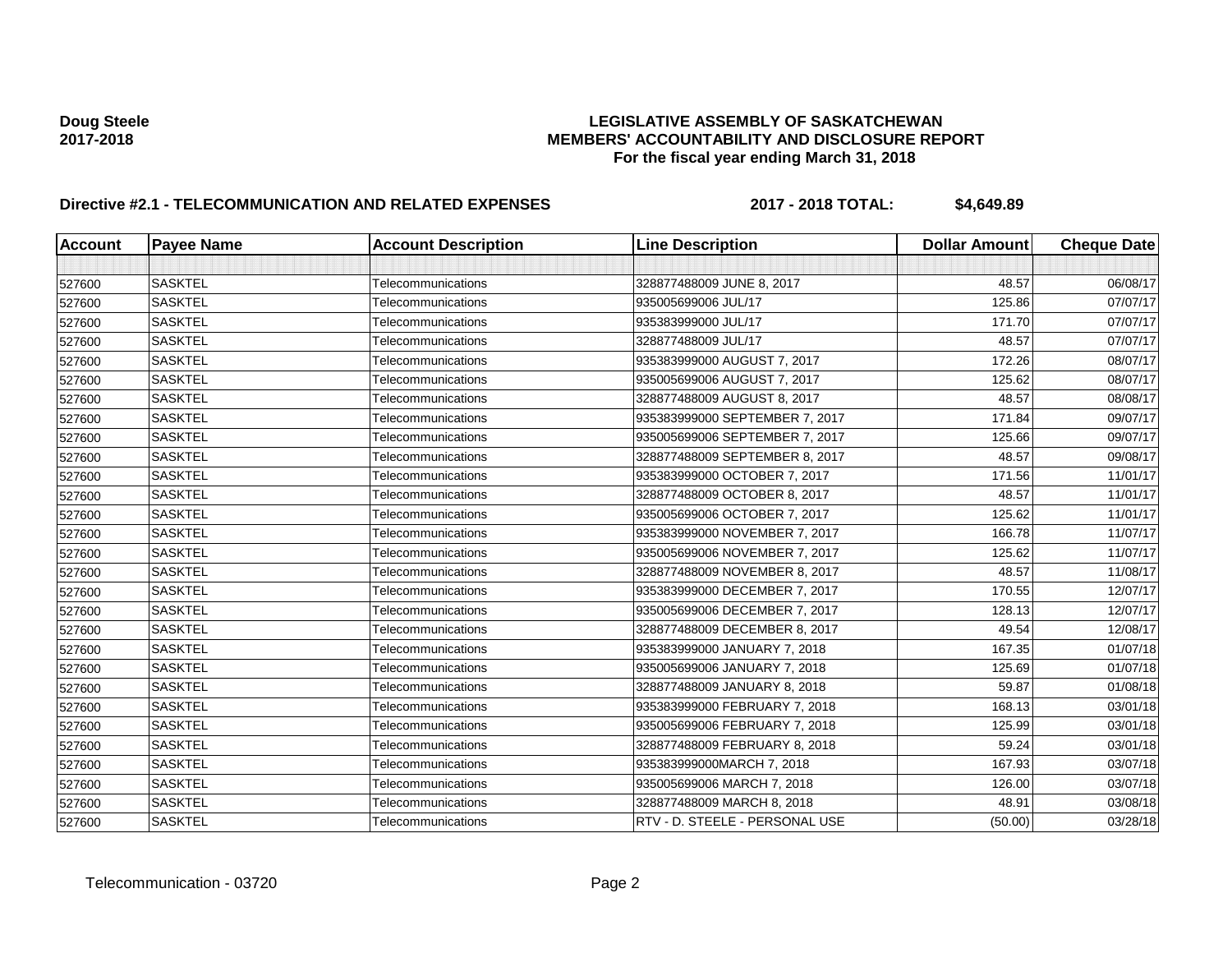# **Doug Steele LEGISLATIVE ASSEMBLY OF SASKATCHEWAN 2017-2018 MEMBERS' ACCOUNTABILITY AND DISCLOSURE REPORT For the fiscal year ending March 31, 2018**

# **Directive #2.1 - TELECOMMUNICATION AND RELATED EXPENSES** 2017 - 2018 TOTAL: \$4,649.89

| <b>Account</b> | <b>Payee Name</b> | <b>Account Description</b> | <b>Line Description</b>        | <b>Dollar Amount</b> | <b>Cheque Date</b> |
|----------------|-------------------|----------------------------|--------------------------------|----------------------|--------------------|
|                |                   |                            |                                |                      |                    |
| 527600         | <b>SASKTEL</b>    | Telecommunications         | 328877488009 JUNE 8, 2017      | 48.57                | 06/08/17           |
| 527600         | <b>SASKTEL</b>    | Telecommunications         | 935005699006 JUL/17            | 125.86               | 07/07/17           |
| 527600         | <b>SASKTEL</b>    | Telecommunications         | 935383999000 JUL/17            | 171.70               | 07/07/17           |
| 527600         | <b>SASKTEL</b>    | Telecommunications         | 328877488009 JUL/17            | 48.57                | 07/07/17           |
| 527600         | <b>SASKTEL</b>    | Telecommunications         | 935383999000 AUGUST 7, 2017    | 172.26               | 08/07/17           |
| 527600         | <b>SASKTEL</b>    | Telecommunications         | 935005699006 AUGUST 7, 2017    | 125.62               | 08/07/17           |
| 527600         | <b>SASKTEL</b>    | Telecommunications         | 328877488009 AUGUST 8, 2017    | 48.57                | 08/08/17           |
| 527600         | <b>SASKTEL</b>    | Telecommunications         | 935383999000 SEPTEMBER 7, 2017 | 171.84               | 09/07/17           |
| 527600         | <b>SASKTEL</b>    | Telecommunications         | 935005699006 SEPTEMBER 7, 2017 | 125.66               | 09/07/17           |
| 527600         | <b>SASKTEL</b>    | Telecommunications         | 328877488009 SEPTEMBER 8, 2017 | 48.57                | 09/08/17           |
| 527600         | <b>SASKTEL</b>    | Telecommunications         | 935383999000 OCTOBER 7, 2017   | 171.56               | 11/01/17           |
| 527600         | <b>SASKTEL</b>    | Telecommunications         | 328877488009 OCTOBER 8, 2017   | 48.57                | 11/01/17           |
| 527600         | <b>SASKTEL</b>    | Telecommunications         | 935005699006 OCTOBER 7, 2017   | 125.62               | 11/01/17           |
| 527600         | <b>SASKTEL</b>    | Telecommunications         | 935383999000 NOVEMBER 7, 2017  | 166.78               | 11/07/17           |
| 527600         | <b>SASKTEL</b>    | Telecommunications         | 935005699006 NOVEMBER 7, 2017  | 125.62               | 11/07/17           |
| 527600         | <b>SASKTEL</b>    | Telecommunications         | 328877488009 NOVEMBER 8, 2017  | 48.57                | 11/08/17           |
| 527600         | <b>SASKTEL</b>    | Telecommunications         | 935383999000 DECEMBER 7, 2017  | 170.55               | 12/07/17           |
| 527600         | <b>SASKTEL</b>    | Telecommunications         | 935005699006 DECEMBER 7, 2017  | 128.13               | 12/07/17           |
| 527600         | <b>SASKTEL</b>    | Telecommunications         | 328877488009 DECEMBER 8, 2017  | 49.54                | 12/08/17           |
| 527600         | <b>SASKTEL</b>    | Telecommunications         | 935383999000 JANUARY 7, 2018   | 167.35               | 01/07/18           |
| 527600         | <b>SASKTEL</b>    | Telecommunications         | 935005699006 JANUARY 7, 2018   | 125.69               | 01/07/18           |
| 527600         | <b>SASKTEL</b>    | Telecommunications         | 328877488009 JANUARY 8, 2018   | 59.87                | 01/08/18           |
| 527600         | <b>SASKTEL</b>    | Telecommunications         | 935383999000 FEBRUARY 7, 2018  | 168.13               | 03/01/18           |
| 527600         | <b>SASKTEL</b>    | Telecommunications         | 935005699006 FEBRUARY 7, 2018  | 125.99               | 03/01/18           |
| 527600         | <b>SASKTEL</b>    | Telecommunications         | 328877488009 FEBRUARY 8, 2018  | 59.24                | 03/01/18           |
| 527600         | <b>SASKTEL</b>    | Telecommunications         | 935383999000MARCH 7, 2018      | 167.93               | 03/07/18           |
| 527600         | <b>SASKTEL</b>    | Telecommunications         | 935005699006 MARCH 7, 2018     | 126.00               | 03/07/18           |
| 527600         | <b>SASKTEL</b>    | Telecommunications         | 328877488009 MARCH 8, 2018     | 48.91                | 03/08/18           |
| 527600         | <b>SASKTEL</b>    | Telecommunications         | RTV - D. STEELE - PERSONAL USE | (50.00)              | 03/28/18           |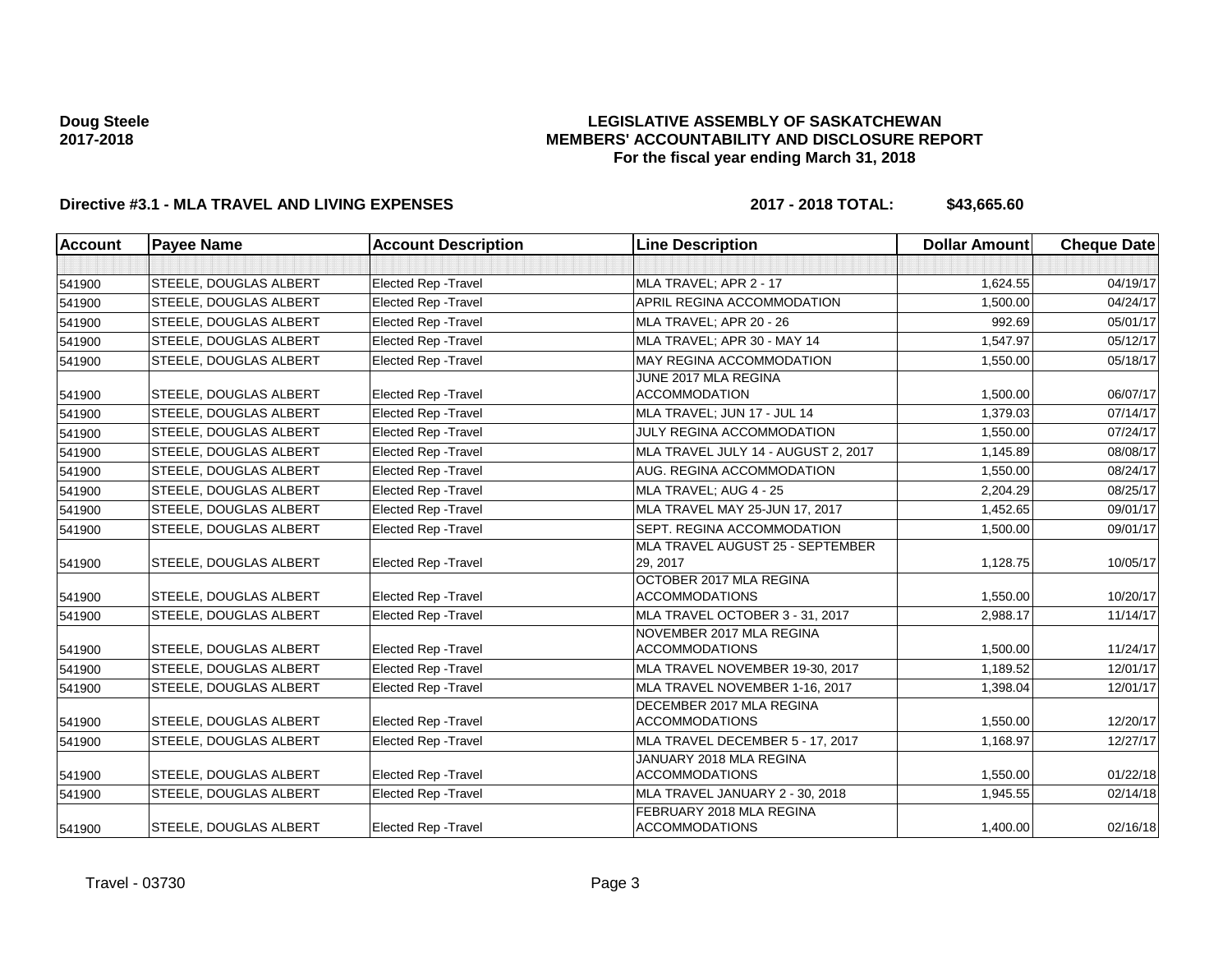## **LEGISLATIVE ASSEMBLY OF SASKATCHEWAN MEMBERS' ACCOUNTABILITY AND DISCLOSURE REPORT For the fiscal year ending March 31, 2018**

# **Directive #3.1 - MLA TRAVEL AND LIVING EXPENSES 2017 - 2018 TOTAL: \$43,665.60**

| <b>Account</b> | <b>Payee Name</b>             | <b>Account Description</b>  | <b>Line Description</b>                           | <b>Dollar Amount</b> | <b>Cheque Date</b> |
|----------------|-------------------------------|-----------------------------|---------------------------------------------------|----------------------|--------------------|
|                |                               |                             |                                                   |                      |                    |
| 541900         | <b>STEELE, DOUGLAS ALBERT</b> | <b>Elected Rep - Travel</b> | MLA TRAVEL; APR 2 - 17                            | 1,624.55             | 04/19/17           |
| 541900         | <b>STEELE, DOUGLAS ALBERT</b> | <b>Elected Rep - Travel</b> | APRIL REGINA ACCOMMODATION                        | 1.500.00             | 04/24/17           |
| 541900         | <b>STEELE, DOUGLAS ALBERT</b> | <b>Elected Rep - Travel</b> | MLA TRAVEL; APR 20 - 26                           | 992.69               | 05/01/17           |
| 541900         | <b>STEELE, DOUGLAS ALBERT</b> | <b>Elected Rep - Travel</b> | MLA TRAVEL; APR 30 - MAY 14                       | 1,547.97             | 05/12/17           |
| 541900         | STEELE, DOUGLAS ALBERT        | <b>Elected Rep - Travel</b> | <b>MAY REGINA ACCOMMODATION</b>                   | 1,550.00             | 05/18/17           |
| 541900         | <b>STEELE, DOUGLAS ALBERT</b> | Elected Rep - Travel        | JUNE 2017 MLA REGINA<br><b>ACCOMMODATION</b>      | 1,500.00             | 06/07/17           |
| 541900         | <b>STEELE, DOUGLAS ALBERT</b> | Elected Rep - Travel        | MLA TRAVEL; JUN 17 - JUL 14                       | 1,379.03             | 07/14/17           |
| 541900         | <b>STEELE, DOUGLAS ALBERT</b> | <b>Elected Rep - Travel</b> | <b>JULY REGINA ACCOMMODATION</b>                  | 1,550.00             | 07/24/17           |
| 541900         | <b>STEELE, DOUGLAS ALBERT</b> | <b>Elected Rep - Travel</b> | MLA TRAVEL JULY 14 - AUGUST 2, 2017               | 1,145.89             | 08/08/17           |
| 541900         | <b>STEELE, DOUGLAS ALBERT</b> | Elected Rep - Travel        | AUG. REGINA ACCOMMODATION                         | 1,550.00             | 08/24/17           |
| 541900         | <b>STEELE, DOUGLAS ALBERT</b> | <b>Elected Rep - Travel</b> | MLA TRAVEL; AUG 4 - 25                            | 2,204.29             | 08/25/17           |
| 541900         | <b>STEELE, DOUGLAS ALBERT</b> | <b>Elected Rep - Travel</b> | MLA TRAVEL MAY 25-JUN 17, 2017                    | 1,452.65             | 09/01/17           |
| 541900         | <b>STEELE, DOUGLAS ALBERT</b> | <b>Elected Rep - Travel</b> | SEPT. REGINA ACCOMMODATION                        | 1,500.00             | 09/01/17           |
| 541900         | <b>STEELE, DOUGLAS ALBERT</b> | <b>Elected Rep - Travel</b> | MLA TRAVEL AUGUST 25 - SEPTEMBER<br>29, 2017      | 1,128.75             | 10/05/17           |
| 541900         | <b>STEELE, DOUGLAS ALBERT</b> | <b>Elected Rep - Travel</b> | OCTOBER 2017 MLA REGINA<br><b>ACCOMMODATIONS</b>  | 1,550.00             | 10/20/17           |
| 541900         | <b>STEELE, DOUGLAS ALBERT</b> | Elected Rep - Travel        | MLA TRAVEL OCTOBER 3 - 31, 2017                   | 2,988.17             | 11/14/17           |
| 541900         | STEELE, DOUGLAS ALBERT        | <b>Elected Rep - Travel</b> | NOVEMBER 2017 MLA REGINA<br><b>ACCOMMODATIONS</b> | 1,500.00             | 11/24/17           |
| 541900         | <b>STEELE, DOUGLAS ALBERT</b> | <b>Elected Rep - Travel</b> | MLA TRAVEL NOVEMBER 19-30, 2017                   | 1,189.52             | 12/01/17           |
| 541900         | <b>STEELE, DOUGLAS ALBERT</b> | Elected Rep - Travel        | MLA TRAVEL NOVEMBER 1-16, 2017                    | 1,398.04             | 12/01/17           |
| 541900         | <b>STEELE, DOUGLAS ALBERT</b> | <b>Elected Rep - Travel</b> | DECEMBER 2017 MLA REGINA<br><b>ACCOMMODATIONS</b> | 1,550.00             | 12/20/17           |
| 541900         | <b>STEELE, DOUGLAS ALBERT</b> | <b>Elected Rep - Travel</b> | MLA TRAVEL DECEMBER 5 - 17, 2017                  | 1,168.97             | 12/27/17           |
| 541900         | <b>STEELE, DOUGLAS ALBERT</b> | <b>Elected Rep - Travel</b> | JANUARY 2018 MLA REGINA<br><b>ACCOMMODATIONS</b>  | 1,550.00             | 01/22/18           |
| 541900         | <b>STEELE, DOUGLAS ALBERT</b> | <b>Elected Rep - Travel</b> | MLA TRAVEL JANUARY 2 - 30, 2018                   | 1,945.55             | 02/14/18           |
| 541900         | STEELE, DOUGLAS ALBERT        | <b>Elected Rep - Travel</b> | FEBRUARY 2018 MLA REGINA<br><b>ACCOMMODATIONS</b> | 1,400.00             | 02/16/18           |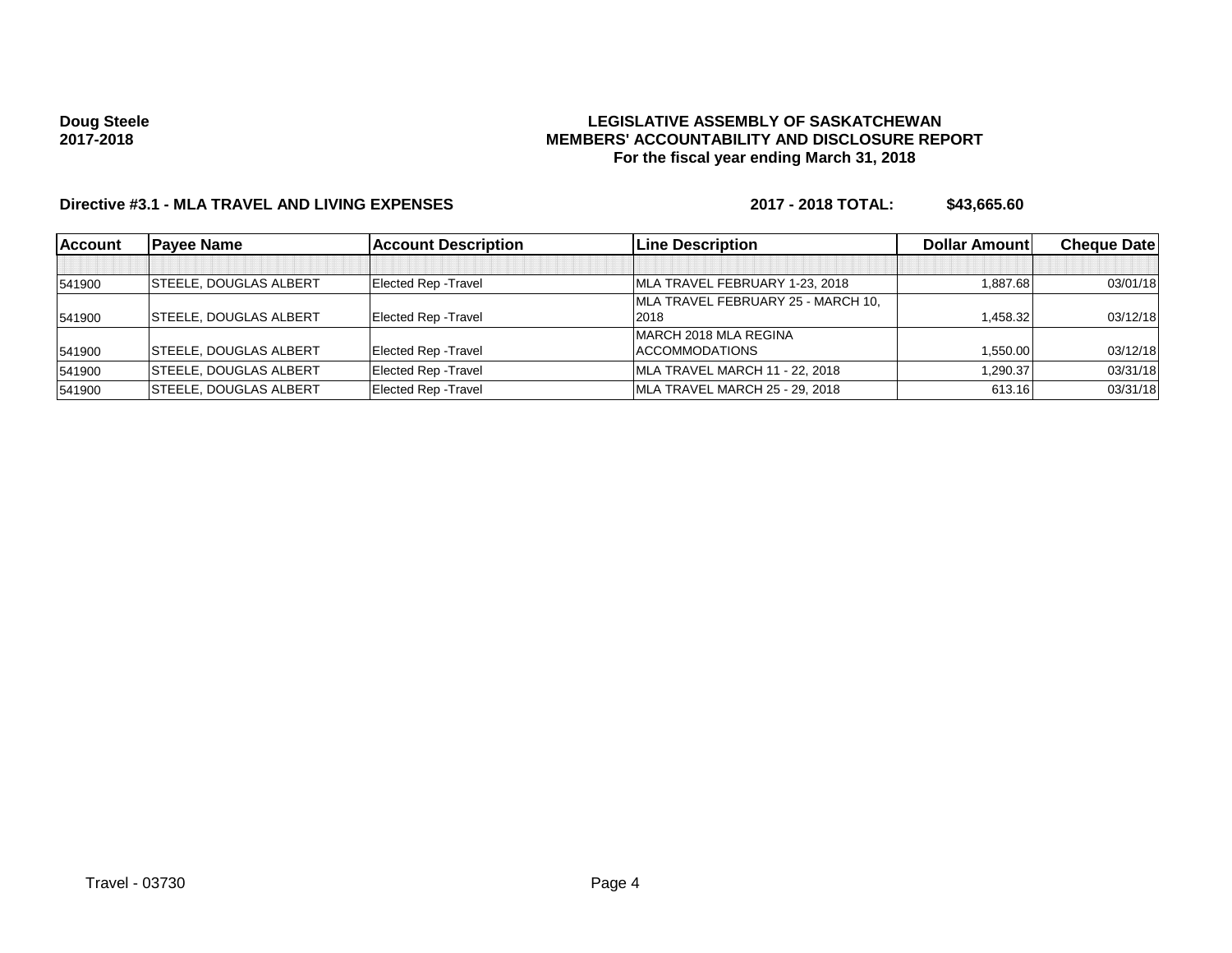### **LEGISLATIVE ASSEMBLY OF SASKATCHEWAN MEMBERS' ACCOUNTABILITY AND DISCLOSURE REPORT For the fiscal year ending March 31, 2018**

# **Directive #3.1 - MLA TRAVEL AND LIVING EXPENSES 2017 - 2018 TOTAL: \$43,665.60**

| <b>Account</b> | <b>IPavee Name</b>            | <b>Account Description</b>  | <b>Line Description</b>            | <b>Dollar Amountl</b> | <b>Cheque Datel</b> |
|----------------|-------------------------------|-----------------------------|------------------------------------|-----------------------|---------------------|
|                |                               |                             |                                    |                       |                     |
| 541900         | <b>STEELE, DOUGLAS ALBERT</b> | <b>Elected Rep - Travel</b> | MLA TRAVEL FEBRUARY 1-23, 2018     | 1.887.68              | 03/01/18            |
|                |                               |                             | MLA TRAVEL FEBRUARY 25 - MARCH 10, |                       |                     |
| 541900         | <b>STEELE, DOUGLAS ALBERT</b> | <b>Elected Rep - Travel</b> | 2018                               | 1.458.32              | 03/12/18            |
|                |                               |                             | IMARCH 2018 MLA REGINA             |                       |                     |
| 541900         | <b>STEELE, DOUGLAS ALBERT</b> | <b>Elected Rep - Travel</b> | ACCOMMODATIONS                     | 1,550.00              | 03/12/18            |
| 541900         | <b>STEELE, DOUGLAS ALBERT</b> | <b>Elected Rep - Travel</b> | MLA TRAVEL MARCH 11 - 22, 2018     | 1,290.37              | 03/31/18            |
| 541900         | <b>STEELE, DOUGLAS ALBERT</b> | <b>Elected Rep - Travel</b> | MLA TRAVEL MARCH 25 - 29, 2018     | 613.16                | 03/31/18            |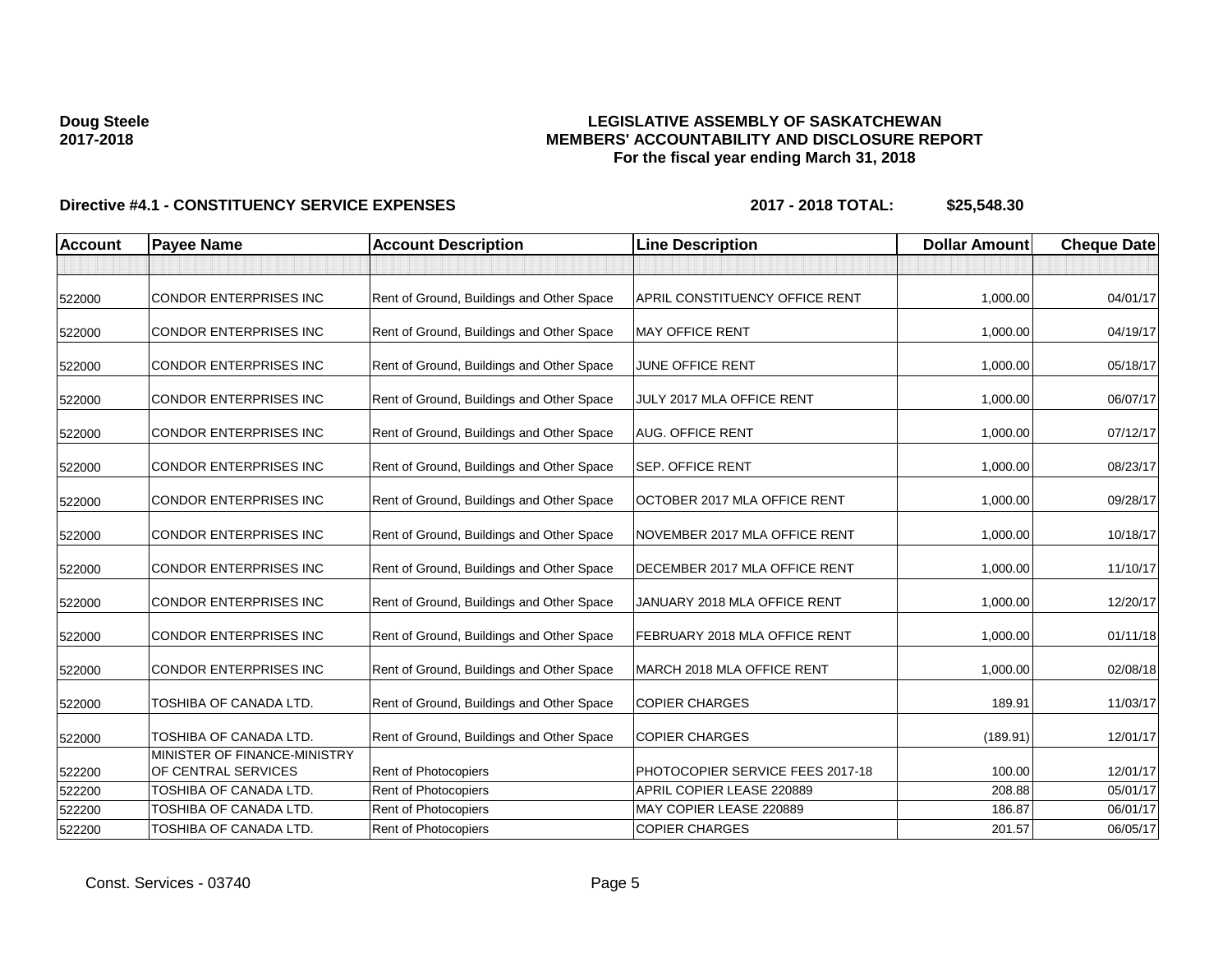## **LEGISLATIVE ASSEMBLY OF SASKATCHEWAN MEMBERS' ACCOUNTABILITY AND DISCLOSURE REPORT For the fiscal year ending March 31, 2018**

| <b>Account</b> | <b>Payee Name</b>                                   | <b>Account Description</b>                | <b>Line Description</b>          | <b>Dollar Amount</b> | <b>Cheque Date</b> |
|----------------|-----------------------------------------------------|-------------------------------------------|----------------------------------|----------------------|--------------------|
|                |                                                     |                                           |                                  |                      |                    |
| 522000         | <b>CONDOR ENTERPRISES INC</b>                       | Rent of Ground, Buildings and Other Space | APRIL CONSTITUENCY OFFICE RENT   | 1,000.00             | 04/01/17           |
| 522000         | <b>CONDOR ENTERPRISES INC</b>                       | Rent of Ground, Buildings and Other Space | <b>MAY OFFICE RENT</b>           | 1,000.00             | 04/19/17           |
| 522000         | CONDOR ENTERPRISES INC                              | Rent of Ground, Buildings and Other Space | JUNE OFFICE RENT                 | 1,000.00             | 05/18/17           |
| 522000         | <b>CONDOR ENTERPRISES INC</b>                       | Rent of Ground, Buildings and Other Space | JULY 2017 MLA OFFICE RENT        | 1,000.00             | 06/07/17           |
| 522000         | CONDOR ENTERPRISES INC                              | Rent of Ground, Buildings and Other Space | <b>AUG. OFFICE RENT</b>          | 1,000.00             | 07/12/17           |
| 522000         | CONDOR ENTERPRISES INC                              | Rent of Ground, Buildings and Other Space | <b>SEP. OFFICE RENT</b>          | 1,000.00             | 08/23/17           |
| 522000         | <b>CONDOR ENTERPRISES INC</b>                       | Rent of Ground, Buildings and Other Space | OCTOBER 2017 MLA OFFICE RENT     | 1,000.00             | 09/28/17           |
| 522000         | CONDOR ENTERPRISES INC                              | Rent of Ground, Buildings and Other Space | NOVEMBER 2017 MLA OFFICE RENT    | 1,000.00             | 10/18/17           |
| 522000         | CONDOR ENTERPRISES INC                              | Rent of Ground, Buildings and Other Space | DECEMBER 2017 MLA OFFICE RENT    | 1,000.00             | 11/10/17           |
| 522000         | <b>CONDOR ENTERPRISES INC</b>                       | Rent of Ground, Buildings and Other Space | JANUARY 2018 MLA OFFICE RENT     | 1,000.00             | 12/20/17           |
| 522000         | <b>CONDOR ENTERPRISES INC</b>                       | Rent of Ground, Buildings and Other Space | FEBRUARY 2018 MLA OFFICE RENT    | 1,000.00             | 01/11/18           |
| 522000         | CONDOR ENTERPRISES INC                              | Rent of Ground, Buildings and Other Space | MARCH 2018 MLA OFFICE RENT       | 1,000.00             | 02/08/18           |
| 522000         | TOSHIBA OF CANADA LTD.                              | Rent of Ground, Buildings and Other Space | <b>COPIER CHARGES</b>            | 189.91               | 11/03/17           |
| 522000         | TOSHIBA OF CANADA LTD.                              | Rent of Ground, Buildings and Other Space | <b>COPIER CHARGES</b>            | (189.91)             | 12/01/17           |
| 522200         | MINISTER OF FINANCE-MINISTRY<br>OF CENTRAL SERVICES | <b>Rent of Photocopiers</b>               | PHOTOCOPIER SERVICE FEES 2017-18 | 100.00               | 12/01/17           |
| 522200         | TOSHIBA OF CANADA LTD.                              | Rent of Photocopiers                      | APRIL COPIER LEASE 220889        | 208.88               | 05/01/17           |
| 522200         | TOSHIBA OF CANADA LTD.                              | Rent of Photocopiers                      | MAY COPIER LEASE 220889          | 186.87               | 06/01/17           |
| 522200         | TOSHIBA OF CANADA LTD.                              | <b>Rent of Photocopiers</b>               | <b>COPIER CHARGES</b>            | 201.57               | 06/05/17           |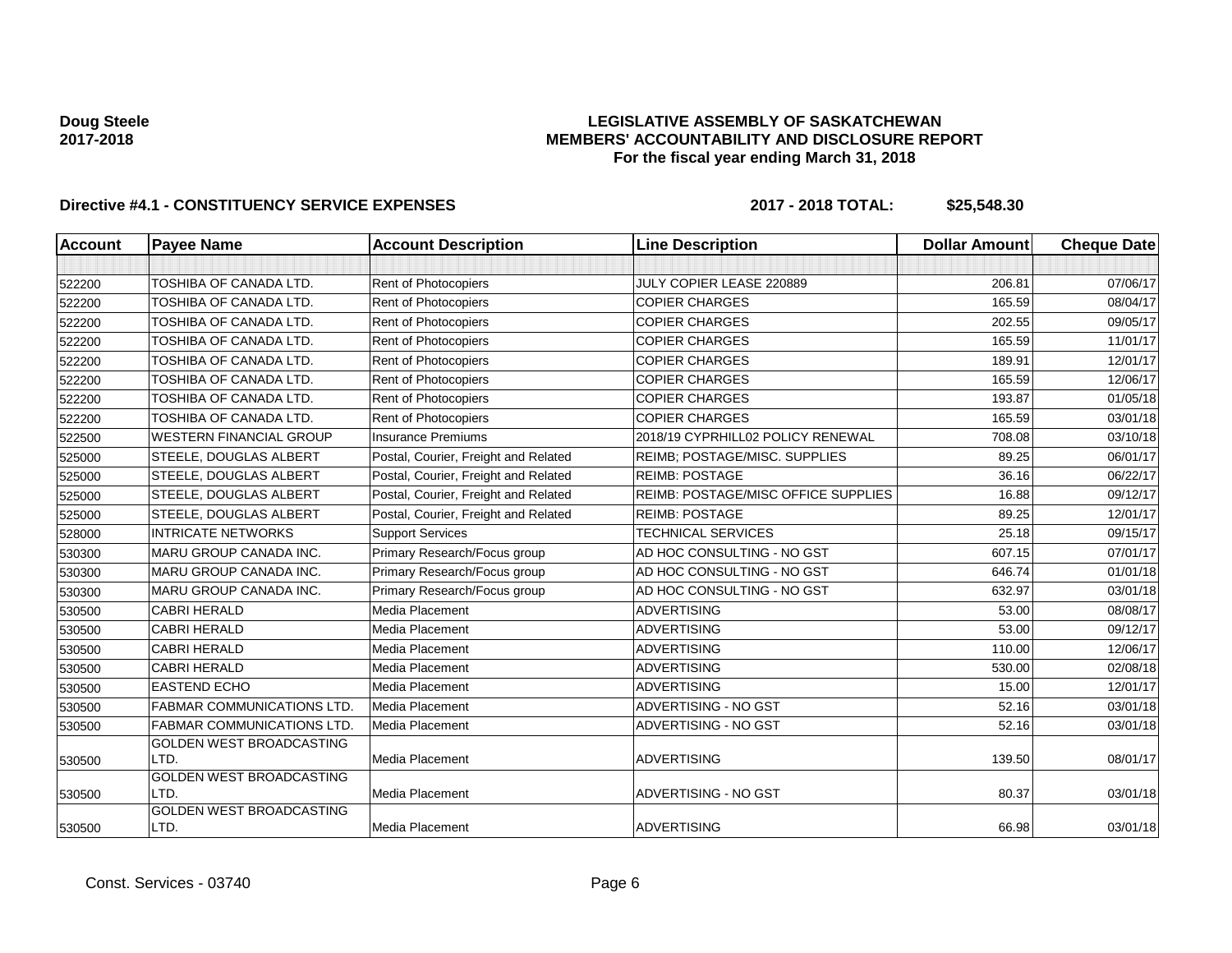## **LEGISLATIVE ASSEMBLY OF SASKATCHEWAN MEMBERS' ACCOUNTABILITY AND DISCLOSURE REPORT For the fiscal year ending March 31, 2018**

| <b>Account</b> | <b>Payee Name</b>                       | <b>Account Description</b>           | <b>Line Description</b>             | <b>Dollar Amount</b> | <b>Cheque Date</b> |
|----------------|-----------------------------------------|--------------------------------------|-------------------------------------|----------------------|--------------------|
|                |                                         |                                      |                                     |                      |                    |
| 522200         | <b>TOSHIBA OF CANADA LTD.</b>           | Rent of Photocopiers                 | JULY COPIER LEASE 220889            | 206.81               | 07/06/17           |
| 522200         | TOSHIBA OF CANADA LTD.                  | Rent of Photocopiers                 | <b>COPIER CHARGES</b>               | 165.59               | 08/04/17           |
| 522200         | TOSHIBA OF CANADA LTD.                  | Rent of Photocopiers                 | <b>COPIER CHARGES</b>               | 202.55               | 09/05/17           |
| 522200         | TOSHIBA OF CANADA LTD.                  | Rent of Photocopiers                 | <b>COPIER CHARGES</b>               | 165.59               | 11/01/17           |
| 522200         | <b>TOSHIBA OF CANADA LTD.</b>           | Rent of Photocopiers                 | <b>COPIER CHARGES</b>               | 189.91               | 12/01/17           |
| 522200         | <b>TOSHIBA OF CANADA LTD.</b>           | Rent of Photocopiers                 | <b>COPIER CHARGES</b>               | 165.59               | 12/06/17           |
| 522200         | <b>TOSHIBA OF CANADA LTD.</b>           | Rent of Photocopiers                 | <b>COPIER CHARGES</b>               | 193.87               | 01/05/18           |
| 522200         | TOSHIBA OF CANADA LTD.                  | <b>Rent of Photocopiers</b>          | <b>COPIER CHARGES</b>               | 165.59               | 03/01/18           |
| 522500         | <b>WESTERN FINANCIAL GROUP</b>          | <b>Insurance Premiums</b>            | 2018/19 CYPRHILL02 POLICY RENEWAL   | 708.08               | 03/10/18           |
| 525000         | STEELE, DOUGLAS ALBERT                  | Postal, Courier, Freight and Related | REIMB; POSTAGE/MISC. SUPPLIES       | 89.25                | 06/01/17           |
| 525000         | STEELE, DOUGLAS ALBERT                  | Postal, Courier, Freight and Related | <b>REIMB: POSTAGE</b>               | 36.16                | 06/22/17           |
| 525000         | STEELE, DOUGLAS ALBERT                  | Postal, Courier, Freight and Related | REIMB: POSTAGE/MISC OFFICE SUPPLIES | 16.88                | 09/12/17           |
| 525000         | STEELE, DOUGLAS ALBERT                  | Postal, Courier, Freight and Related | <b>REIMB: POSTAGE</b>               | 89.25                | 12/01/17           |
| 528000         | <b>INTRICATE NETWORKS</b>               | <b>Support Services</b>              | <b>TECHNICAL SERVICES</b>           | 25.18                | 09/15/17           |
| 530300         | <b>MARU GROUP CANADA INC.</b>           | Primary Research/Focus group         | AD HOC CONSULTING - NO GST          | 607.15               | 07/01/17           |
| 530300         | MARU GROUP CANADA INC.                  | Primary Research/Focus group         | AD HOC CONSULTING - NO GST          | 646.74               | 01/01/18           |
| 530300         | MARU GROUP CANADA INC.                  | Primary Research/Focus group         | AD HOC CONSULTING - NO GST          | 632.97               | 03/01/18           |
| 530500         | <b>CABRI HERALD</b>                     | <b>Media Placement</b>               | <b>ADVERTISING</b>                  | 53.00                | 08/08/17           |
| 530500         | <b>CABRI HERALD</b>                     | Media Placement                      | <b>ADVERTISING</b>                  | 53.00                | 09/12/17           |
| 530500         | <b>CABRI HERALD</b>                     | Media Placement                      | <b>ADVERTISING</b>                  | 110.00               | 12/06/17           |
| 530500         | <b>CABRI HERALD</b>                     | Media Placement                      | <b>ADVERTISING</b>                  | 530.00               | 02/08/18           |
| 530500         | <b>EASTEND ECHO</b>                     | <b>Media Placement</b>               | <b>ADVERTISING</b>                  | 15.00                | 12/01/17           |
| 530500         | <b>FABMAR COMMUNICATIONS LTD.</b>       | Media Placement                      | ADVERTISING - NO GST                | 52.16                | 03/01/18           |
| 530500         | <b>FABMAR COMMUNICATIONS LTD.</b>       | <b>Media Placement</b>               | ADVERTISING - NO GST                | 52.16                | 03/01/18           |
| 530500         | <b>GOLDEN WEST BROADCASTING</b><br>LTD. | Media Placement                      | <b>ADVERTISING</b>                  | 139.50               | 08/01/17           |
| 530500         | <b>GOLDEN WEST BROADCASTING</b><br>LTD. | Media Placement                      | ADVERTISING - NO GST                | 80.37                | 03/01/18           |
| 530500         | <b>GOLDEN WEST BROADCASTING</b><br>LTD. | Media Placement                      | <b>ADVERTISING</b>                  | 66.98                | 03/01/18           |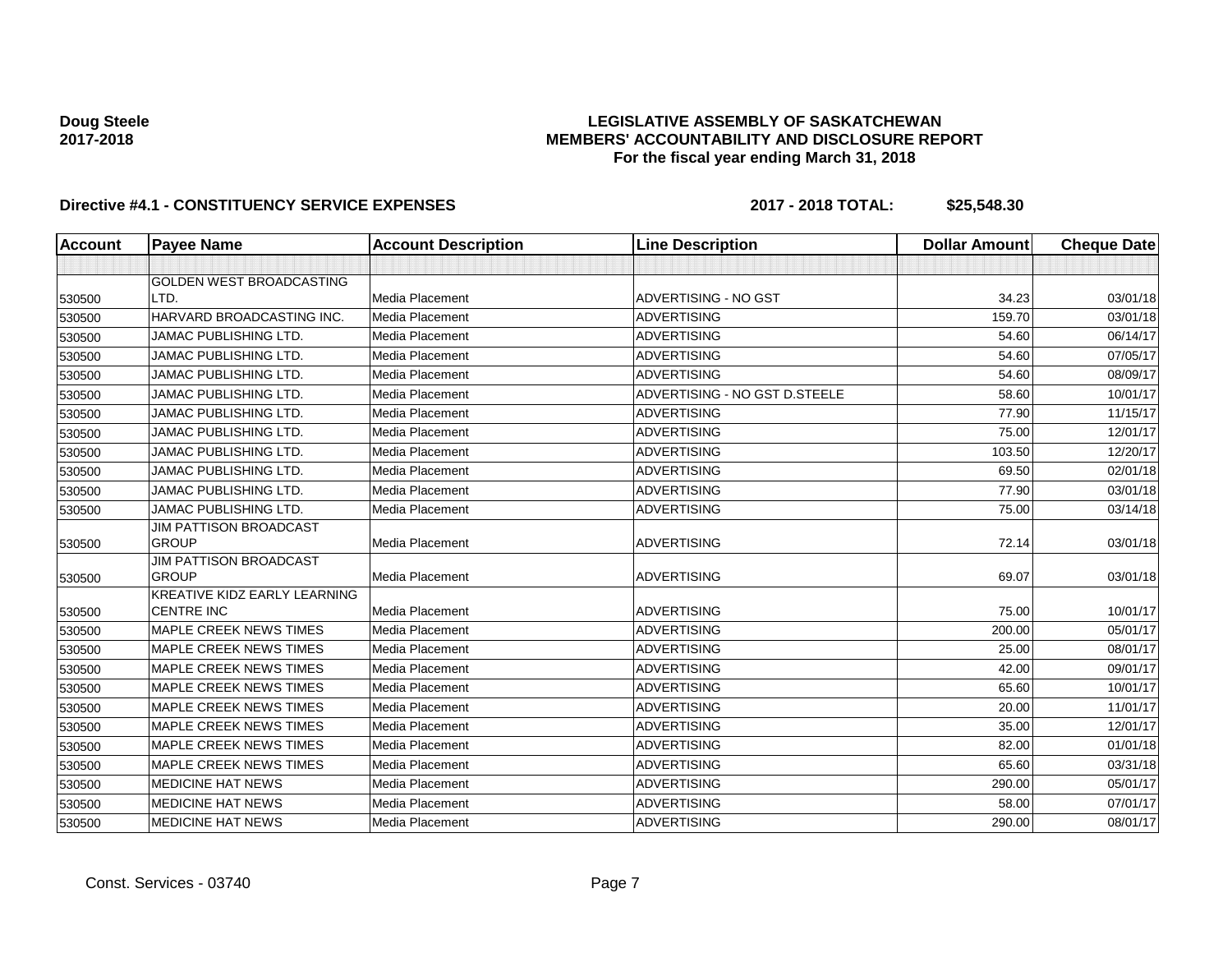## **LEGISLATIVE ASSEMBLY OF SASKATCHEWAN MEMBERS' ACCOUNTABILITY AND DISCLOSURE REPORT For the fiscal year ending March 31, 2018**

| <b>Account</b> | <b>Payee Name</b>                             | <b>Account Description</b> | <b>Line Description</b>       | <b>Dollar Amount</b> | <b>Cheque Date</b> |
|----------------|-----------------------------------------------|----------------------------|-------------------------------|----------------------|--------------------|
|                |                                               |                            |                               |                      |                    |
|                | <b>GOLDEN WEST BROADCASTING</b>               |                            |                               |                      |                    |
| 530500         | LTD.                                          | Media Placement            | ADVERTISING - NO GST          | 34.23                | 03/01/18           |
| 530500         | HARVARD BROADCASTING INC.                     | Media Placement            | <b>ADVERTISING</b>            | 159.70               | 03/01/18           |
| 530500         | <b>JAMAC PUBLISHING LTD.</b>                  | Media Placement            | <b>ADVERTISING</b>            | 54.60                | 06/14/17           |
| 530500         | <b>JAMAC PUBLISHING LTD.</b>                  | Media Placement            | <b>ADVERTISING</b>            | 54.60                | 07/05/17           |
| 530500         | <b>JAMAC PUBLISHING LTD.</b>                  | Media Placement            | <b>ADVERTISING</b>            | 54.60                | 08/09/17           |
| 530500         | <b>JAMAC PUBLISHING LTD.</b>                  | Media Placement            | ADVERTISING - NO GST D.STEELE | 58.60                | 10/01/17           |
| 530500         | <b>JAMAC PUBLISHING LTD.</b>                  | Media Placement            | <b>ADVERTISING</b>            | 77.90                | 11/15/17           |
| 530500         | JAMAC PUBLISHING LTD.                         | Media Placement            | <b>ADVERTISING</b>            | 75.00                | 12/01/17           |
| 530500         | <b>JAMAC PUBLISHING LTD.</b>                  | Media Placement            | <b>ADVERTISING</b>            | 103.50               | 12/20/17           |
| 530500         | JAMAC PUBLISHING LTD.                         | Media Placement            | <b>ADVERTISING</b>            | 69.50                | 02/01/18           |
| 530500         | <b>JAMAC PUBLISHING LTD.</b>                  | Media Placement            | <b>ADVERTISING</b>            | 77.90                | 03/01/18           |
| 530500         | <b>JAMAC PUBLISHING LTD.</b>                  | Media Placement            | <b>ADVERTISING</b>            | 75.00                | 03/14/18           |
|                | JIM PATTISON BROADCAST                        |                            |                               |                      |                    |
| 530500         | <b>GROUP</b>                                  | Media Placement            | <b>ADVERTISING</b>            | 72.14                | 03/01/18           |
| 530500         | <b>JIM PATTISON BROADCAST</b><br><b>GROUP</b> | Media Placement            | <b>ADVERTISING</b>            | 69.07                | 03/01/18           |
|                | KREATIVE KIDZ EARLY LEARNING                  |                            |                               |                      |                    |
| 530500         | <b>CENTRE INC</b>                             | <b>Media Placement</b>     | <b>ADVERTISING</b>            | 75.00                | 10/01/17           |
| 530500         | <b>MAPLE CREEK NEWS TIMES</b>                 | Media Placement            | <b>ADVERTISING</b>            | 200.00               | 05/01/17           |
| 530500         | <b>MAPLE CREEK NEWS TIMES</b>                 | Media Placement            | <b>ADVERTISING</b>            | 25.00                | 08/01/17           |
| 530500         | <b>MAPLE CREEK NEWS TIMES</b>                 | Media Placement            | <b>ADVERTISING</b>            | 42.00                | 09/01/17           |
| 530500         | <b>MAPLE CREEK NEWS TIMES</b>                 | Media Placement            | <b>ADVERTISING</b>            | 65.60                | 10/01/17           |
| 530500         | <b>MAPLE CREEK NEWS TIMES</b>                 | Media Placement            | <b>ADVERTISING</b>            | 20.00                | 11/01/17           |
| 530500         | <b>MAPLE CREEK NEWS TIMES</b>                 | Media Placement            | <b>ADVERTISING</b>            | 35.00                | 12/01/17           |
| 530500         | <b>MAPLE CREEK NEWS TIMES</b>                 | Media Placement            | <b>ADVERTISING</b>            | 82.00                | 01/01/18           |
| 530500         | <b>MAPLE CREEK NEWS TIMES</b>                 | Media Placement            | <b>ADVERTISING</b>            | 65.60                | 03/31/18           |
| 530500         | <b>MEDICINE HAT NEWS</b>                      | Media Placement            | <b>ADVERTISING</b>            | 290.00               | 05/01/17           |
| 530500         | <b>MEDICINE HAT NEWS</b>                      | Media Placement            | <b>ADVERTISING</b>            | 58.00                | 07/01/17           |
| 530500         | <b>MEDICINE HAT NEWS</b>                      | Media Placement            | <b>ADVERTISING</b>            | 290.00               | 08/01/17           |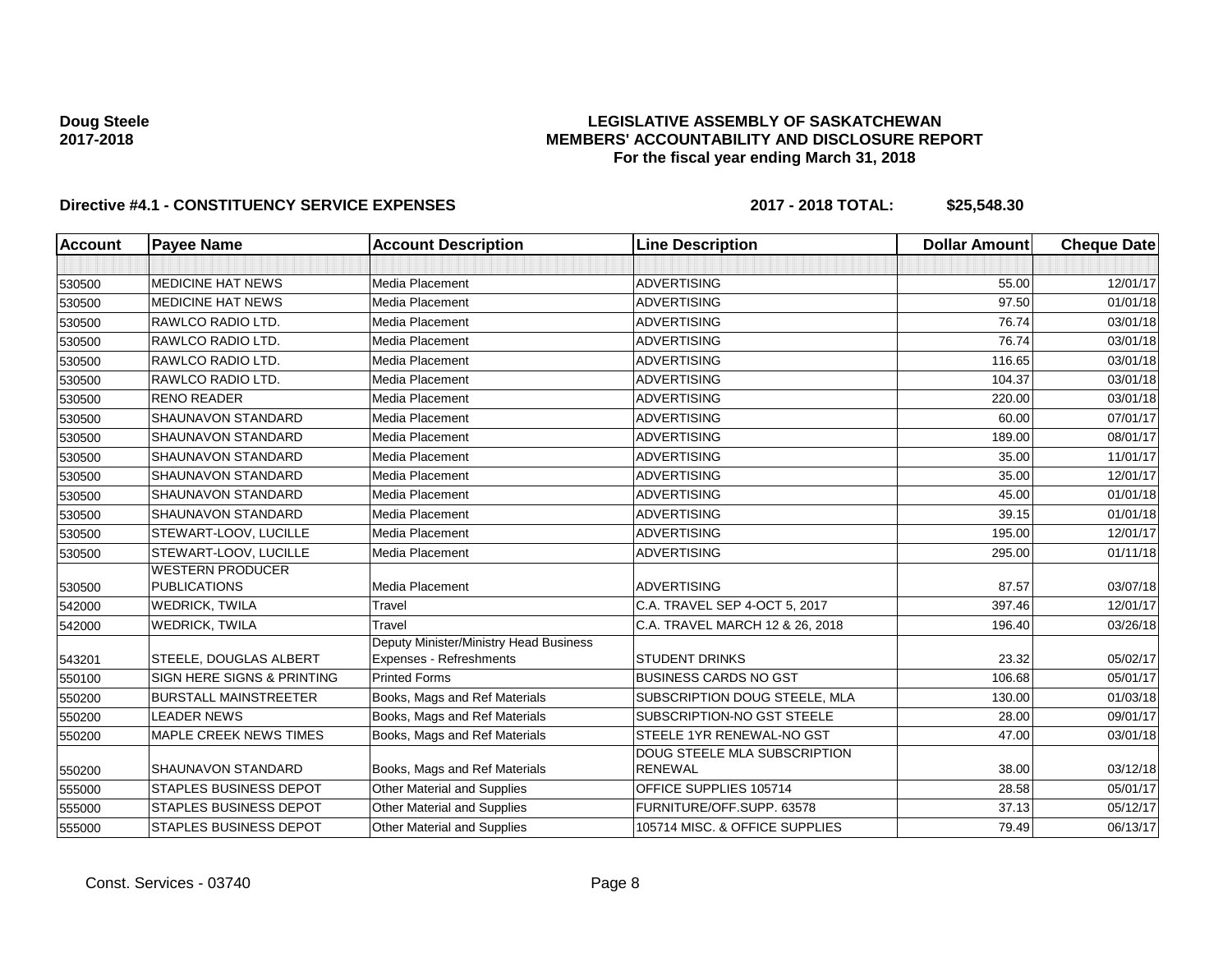## **LEGISLATIVE ASSEMBLY OF SASKATCHEWAN MEMBERS' ACCOUNTABILITY AND DISCLOSURE REPORT For the fiscal year ending March 31, 2018**

| <b>Account</b> | <b>Payee Name</b>                              | <b>Account Description</b>                                               | <b>Line Description</b>                        | <b>Dollar Amount</b> | <b>Cheque Date</b> |
|----------------|------------------------------------------------|--------------------------------------------------------------------------|------------------------------------------------|----------------------|--------------------|
|                |                                                |                                                                          |                                                |                      |                    |
| 530500         | <b>MEDICINE HAT NEWS</b>                       | Media Placement                                                          | <b>ADVERTISING</b>                             | 55.00                | 12/01/17           |
| 530500         | <b>MEDICINE HAT NEWS</b>                       | Media Placement                                                          | <b>ADVERTISING</b>                             | 97.50                | 01/01/18           |
| 530500         | RAWLCO RADIO LTD.                              | Media Placement                                                          | <b>ADVERTISING</b>                             | 76.74                | 03/01/18           |
| 530500         | RAWLCO RADIO LTD.                              | Media Placement                                                          | <b>ADVERTISING</b>                             | 76.74                | 03/01/18           |
| 530500         | RAWLCO RADIO LTD.                              | Media Placement                                                          | <b>ADVERTISING</b>                             | 116.65               | 03/01/18           |
| 530500         | RAWLCO RADIO LTD.                              | Media Placement                                                          | <b>ADVERTISING</b>                             | 104.37               | 03/01/18           |
| 530500         | <b>RENO READER</b>                             | Media Placement                                                          | <b>ADVERTISING</b>                             | 220.00               | 03/01/18           |
| 530500         | SHAUNAVON STANDARD                             | Media Placement                                                          | <b>ADVERTISING</b>                             | 60.00                | 07/01/17           |
| 530500         | <b>SHAUNAVON STANDARD</b>                      | Media Placement                                                          | <b>ADVERTISING</b>                             | 189.00               | 08/01/17           |
| 530500         | SHAUNAVON STANDARD                             | Media Placement                                                          | <b>ADVERTISING</b>                             | 35.00                | 11/01/17           |
| 530500         | <b>SHAUNAVON STANDARD</b>                      | Media Placement                                                          | <b>ADVERTISING</b>                             | 35.00                | 12/01/17           |
| 530500         | <b>SHAUNAVON STANDARD</b>                      | Media Placement                                                          | <b>ADVERTISING</b>                             | 45.00                | 01/01/18           |
| 530500         | SHAUNAVON STANDARD                             | Media Placement                                                          | <b>ADVERTISING</b>                             | 39.15                | 01/01/18           |
| 530500         | STEWART-LOOV, LUCILLE                          | Media Placement                                                          | <b>ADVERTISING</b>                             | 195.00               | 12/01/17           |
| 530500         | STEWART-LOOV, LUCILLE                          | Media Placement                                                          | <b>ADVERTISING</b>                             | 295.00               | 01/11/18           |
| 530500         | <b>WESTERN PRODUCER</b><br><b>PUBLICATIONS</b> | Media Placement                                                          | <b>ADVERTISING</b>                             | 87.57                | 03/07/18           |
| 542000         | <b>WEDRICK, TWILA</b>                          | Travel                                                                   | C.A. TRAVEL SEP 4-OCT 5, 2017                  | 397.46               | 12/01/17           |
| 542000         | <b>WEDRICK, TWILA</b>                          | Travel                                                                   | C.A. TRAVEL MARCH 12 & 26, 2018                | 196.40               | 03/26/18           |
| 543201         | STEELE, DOUGLAS ALBERT                         | Deputy Minister/Ministry Head Business<br><b>Expenses - Refreshments</b> | <b>STUDENT DRINKS</b>                          | 23.32                | 05/02/17           |
| 550100         | SIGN HERE SIGNS & PRINTING                     | <b>Printed Forms</b>                                                     | <b>BUSINESS CARDS NO GST</b>                   | 106.68               | 05/01/17           |
| 550200         | <b>BURSTALL MAINSTREETER</b>                   | Books, Mags and Ref Materials                                            | SUBSCRIPTION DOUG STEELE, MLA                  | 130.00               | 01/03/18           |
| 550200         | <b>LEADER NEWS</b>                             | Books, Mags and Ref Materials                                            | SUBSCRIPTION-NO GST STEELE                     | 28.00                | 09/01/17           |
| 550200         | MAPLE CREEK NEWS TIMES                         | Books, Mags and Ref Materials                                            | STEELE 1YR RENEWAL-NO GST                      | 47.00                | 03/01/18           |
| 550200         | <b>SHAUNAVON STANDARD</b>                      | Books, Mags and Ref Materials                                            | DOUG STEELE MLA SUBSCRIPTION<br><b>RENEWAL</b> | 38.00                | 03/12/18           |
| 555000         | <b>STAPLES BUSINESS DEPOT</b>                  | Other Material and Supplies                                              | OFFICE SUPPLIES 105714                         | 28.58                | 05/01/17           |
| 555000         | <b>STAPLES BUSINESS DEPOT</b>                  | Other Material and Supplies                                              | FURNITURE/OFF.SUPP. 63578                      | 37.13                | 05/12/17           |
| 555000         | <b>STAPLES BUSINESS DEPOT</b>                  | Other Material and Supplies                                              | 105714 MISC. & OFFICE SUPPLIES                 | 79.49                | 06/13/17           |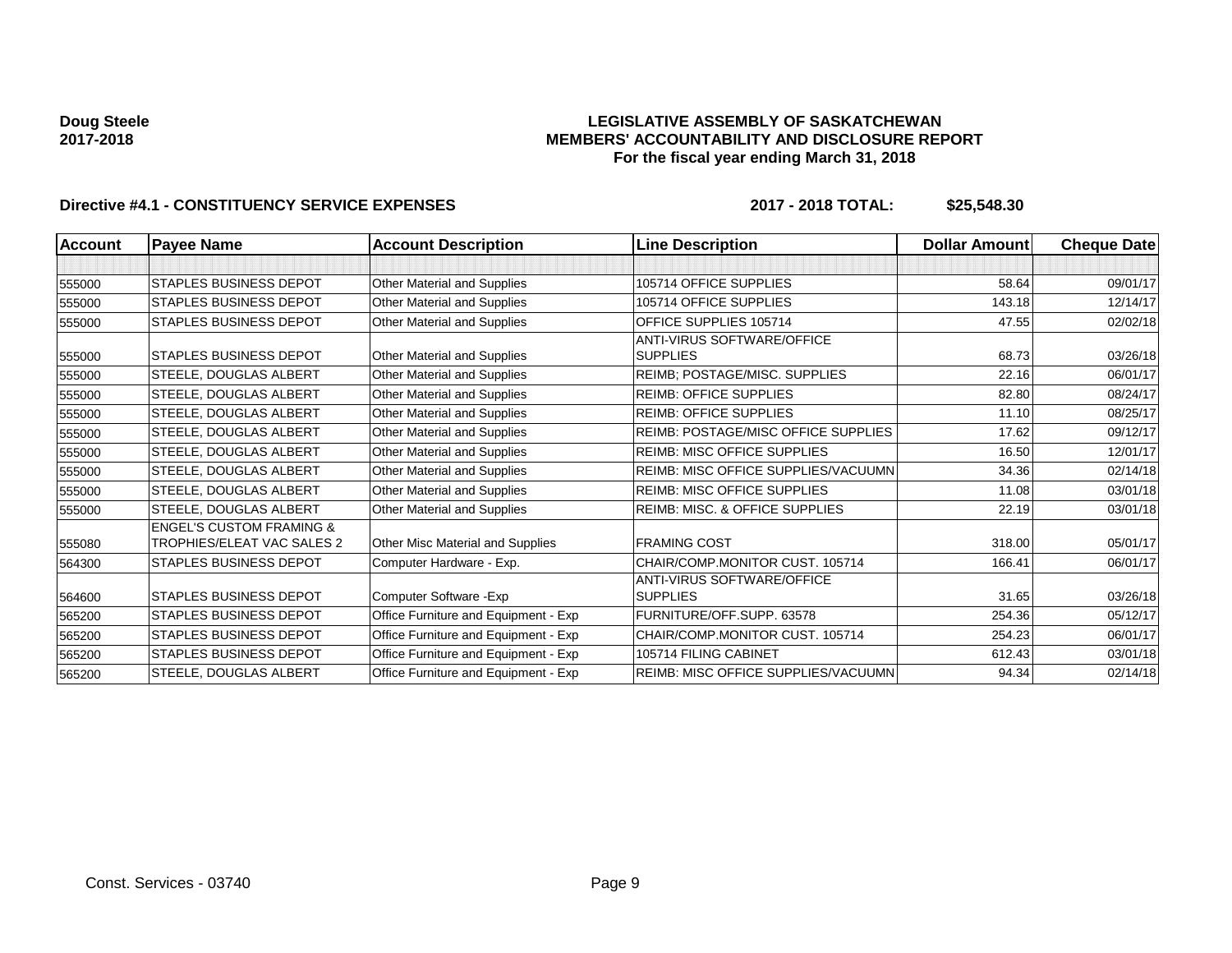### **LEGISLATIVE ASSEMBLY OF SASKATCHEWAN MEMBERS' ACCOUNTABILITY AND DISCLOSURE REPORT For the fiscal year ending March 31, 2018**

| <b>Account</b> | <b>Payee Name</b>                   | <b>Account Description</b>           | <b>Line Description</b>                    | <b>Dollar Amount</b> | <b>Cheque Date</b> |
|----------------|-------------------------------------|--------------------------------------|--------------------------------------------|----------------------|--------------------|
|                |                                     |                                      |                                            |                      |                    |
| 555000         | <b>STAPLES BUSINESS DEPOT</b>       | Other Material and Supplies          | 105714 OFFICE SUPPLIES                     | 58.64                | 09/01/17           |
| 555000         | <b>STAPLES BUSINESS DEPOT</b>       | Other Material and Supplies          | 105714 OFFICE SUPPLIES                     | 143.18               | 12/14/17           |
| 555000         | <b>STAPLES BUSINESS DEPOT</b>       | Other Material and Supplies          | OFFICE SUPPLIES 105714                     | 47.55                | 02/02/18           |
|                |                                     |                                      | <b>ANTI-VIRUS SOFTWARE/OFFICE</b>          |                      |                    |
| 555000         | <b>STAPLES BUSINESS DEPOT</b>       | Other Material and Supplies          | <b>SUPPLIES</b>                            | 68.73                | 03/26/18           |
| 555000         | <b>STEELE, DOUGLAS ALBERT</b>       | Other Material and Supplies          | REIMB; POSTAGE/MISC. SUPPLIES              | 22.16                | 06/01/17           |
| 555000         | <b>STEELE, DOUGLAS ALBERT</b>       | Other Material and Supplies          | <b>REIMB: OFFICE SUPPLIES</b>              | 82.80                | 08/24/17           |
| 555000         | STEELE, DOUGLAS ALBERT              | Other Material and Supplies          | <b>REIMB: OFFICE SUPPLIES</b>              | 11.10                | 08/25/17           |
| 555000         | <b>STEELE, DOUGLAS ALBERT</b>       | Other Material and Supplies          | <b>REIMB: POSTAGE/MISC OFFICE SUPPLIES</b> | 17.62                | 09/12/17           |
| 555000         | STEELE, DOUGLAS ALBERT              | Other Material and Supplies          | <b>REIMB: MISC OFFICE SUPPLIES</b>         | 16.50                | 12/01/17           |
| 555000         | STEELE, DOUGLAS ALBERT              | Other Material and Supplies          | REIMB: MISC OFFICE SUPPLIES/VACUUMN        | 34.36                | 02/14/18           |
| 555000         | STEELE, DOUGLAS ALBERT              | Other Material and Supplies          | <b>REIMB: MISC OFFICE SUPPLIES</b>         | 11.08                | 03/01/18           |
| 555000         | STEELE, DOUGLAS ALBERT              | Other Material and Supplies          | <b>REIMB: MISC. &amp; OFFICE SUPPLIES</b>  | 22.19                | 03/01/18           |
|                | <b>ENGEL'S CUSTOM FRAMING &amp;</b> |                                      |                                            |                      |                    |
| 555080         | TROPHIES/ELEAT VAC SALES 2          | Other Misc Material and Supplies     | <b>FRAMING COST</b>                        | 318.00               | 05/01/17           |
| 564300         | <b>STAPLES BUSINESS DEPOT</b>       | Computer Hardware - Exp.             | CHAIR/COMP.MONITOR CUST, 105714            | 166.41               | 06/01/17           |
|                |                                     |                                      | <b>ANTI-VIRUS SOFTWARE/OFFICE</b>          |                      |                    |
| 564600         | <b>STAPLES BUSINESS DEPOT</b>       | Computer Software - Exp              | <b>SUPPLIES</b>                            | 31.65                | 03/26/18           |
| 565200         | <b>STAPLES BUSINESS DEPOT</b>       | Office Furniture and Equipment - Exp | FURNITURE/OFF.SUPP. 63578                  | 254.36               | 05/12/17           |
| 565200         | STAPLES BUSINESS DEPOT              | Office Furniture and Equipment - Exp | CHAIR/COMP.MONITOR CUST. 105714            | 254.23               | 06/01/17           |
| 565200         | <b>STAPLES BUSINESS DEPOT</b>       | Office Furniture and Equipment - Exp | 105714 FILING CABINET                      | 612.43               | 03/01/18           |
| 565200         | STEELE, DOUGLAS ALBERT              | Office Furniture and Equipment - Exp | REIMB: MISC OFFICE SUPPLIES/VACUUMN        | 94.34                | 02/14/18           |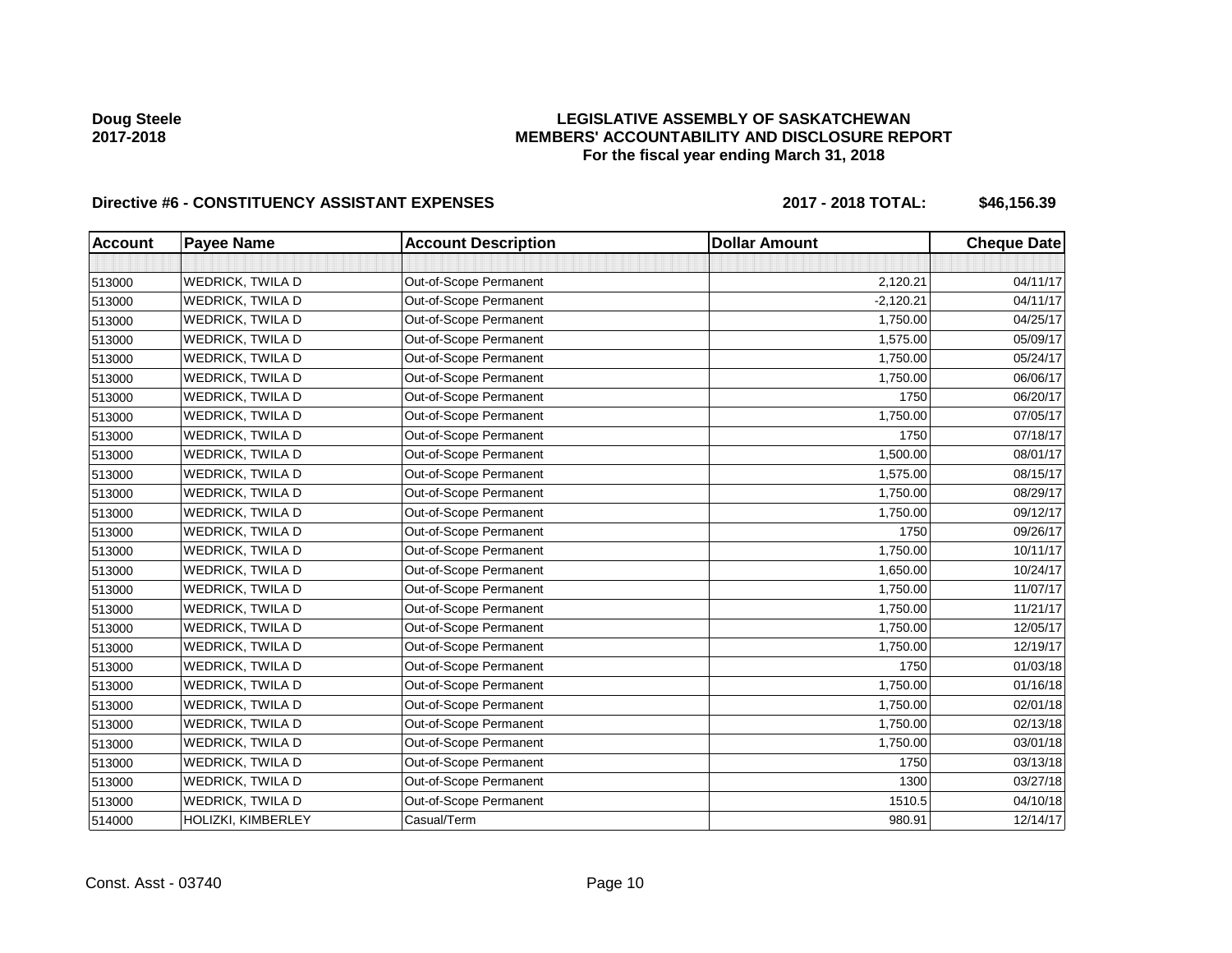## **LEGISLATIVE ASSEMBLY OF SASKATCHEWAN MEMBERS' ACCOUNTABILITY AND DISCLOSURE REPORT For the fiscal year ending March 31, 2018**

# Directive #6 - CONSTITUENCY ASSISTANT EXPENSES 2017 - 2018 TOTAL: \$46,156.39

| <b>Account</b> | <b>Payee Name</b>       | <b>Account Description</b> | <b>Dollar Amount</b> | <b>Cheque Date</b> |
|----------------|-------------------------|----------------------------|----------------------|--------------------|
|                |                         |                            |                      |                    |
| 513000         | <b>WEDRICK, TWILA D</b> | Out-of-Scope Permanent     | 2,120.21             | 04/11/17           |
| 513000         | <b>WEDRICK, TWILA D</b> | Out-of-Scope Permanent     | $-2,120.21$          | 04/11/17           |
| 513000         | WEDRICK, TWILA D        | Out-of-Scope Permanent     | 1,750.00             | 04/25/17           |
| 513000         | WEDRICK, TWILA D        | Out-of-Scope Permanent     | 1,575.00             | 05/09/17           |
| 513000         | WEDRICK, TWILA D        | Out-of-Scope Permanent     | 1,750.00             | 05/24/17           |
| 513000         | WEDRICK, TWILA D        | Out-of-Scope Permanent     | 1,750.00             | 06/06/17           |
| 513000         | WEDRICK, TWILA D        | Out-of-Scope Permanent     | 1750                 | 06/20/17           |
| 513000         | WEDRICK, TWILA D        | Out-of-Scope Permanent     | 1,750.00             | 07/05/17           |
| 513000         | <b>WEDRICK, TWILA D</b> | Out-of-Scope Permanent     | 1750                 | 07/18/17           |
| 513000         | WEDRICK, TWILA D        | Out-of-Scope Permanent     | 1,500.00             | 08/01/17           |
| 513000         | <b>WEDRICK, TWILA D</b> | Out-of-Scope Permanent     | 1,575.00             | 08/15/17           |
| 513000         | WEDRICK, TWILA D        | Out-of-Scope Permanent     | 1,750.00             | 08/29/17           |
| 513000         | <b>WEDRICK, TWILA D</b> | Out-of-Scope Permanent     | 1,750.00             | 09/12/17           |
| 513000         | <b>WEDRICK, TWILA D</b> | Out-of-Scope Permanent     | 1750                 | 09/26/17           |
| 513000         | <b>WEDRICK, TWILA D</b> | Out-of-Scope Permanent     | 1,750.00             | 10/11/17           |
| 513000         | <b>WEDRICK, TWILA D</b> | Out-of-Scope Permanent     | 1,650.00             | 10/24/17           |
| 513000         | <b>WEDRICK, TWILA D</b> | Out-of-Scope Permanent     | 1,750.00             | 11/07/17           |
| 513000         | WEDRICK, TWILA D        | Out-of-Scope Permanent     | 1,750.00             | 11/21/17           |
| 513000         | WEDRICK, TWILA D        | Out-of-Scope Permanent     | 1,750.00             | 12/05/17           |
| 513000         | <b>WEDRICK, TWILA D</b> | Out-of-Scope Permanent     | 1,750.00             | 12/19/17           |
| 513000         | WEDRICK, TWILA D        | Out-of-Scope Permanent     | 1750                 | 01/03/18           |
| 513000         | <b>WEDRICK, TWILA D</b> | Out-of-Scope Permanent     | 1,750.00             | 01/16/18           |
| 513000         | WEDRICK, TWILA D        | Out-of-Scope Permanent     | 1,750.00             | 02/01/18           |
| 513000         | WEDRICK, TWILA D        | Out-of-Scope Permanent     | 1,750.00             | 02/13/18           |
| 513000         | <b>WEDRICK, TWILA D</b> | Out-of-Scope Permanent     | 1,750.00             | 03/01/18           |
| 513000         | <b>WEDRICK, TWILA D</b> | Out-of-Scope Permanent     | 1750                 | 03/13/18           |
| 513000         | <b>WEDRICK, TWILA D</b> | Out-of-Scope Permanent     | 1300                 | 03/27/18           |
| 513000         | WEDRICK, TWILA D        | Out-of-Scope Permanent     | 1510.5               | 04/10/18           |
| 514000         | HOLIZKI, KIMBERLEY      | Casual/Term                | 980.91               | 12/14/17           |